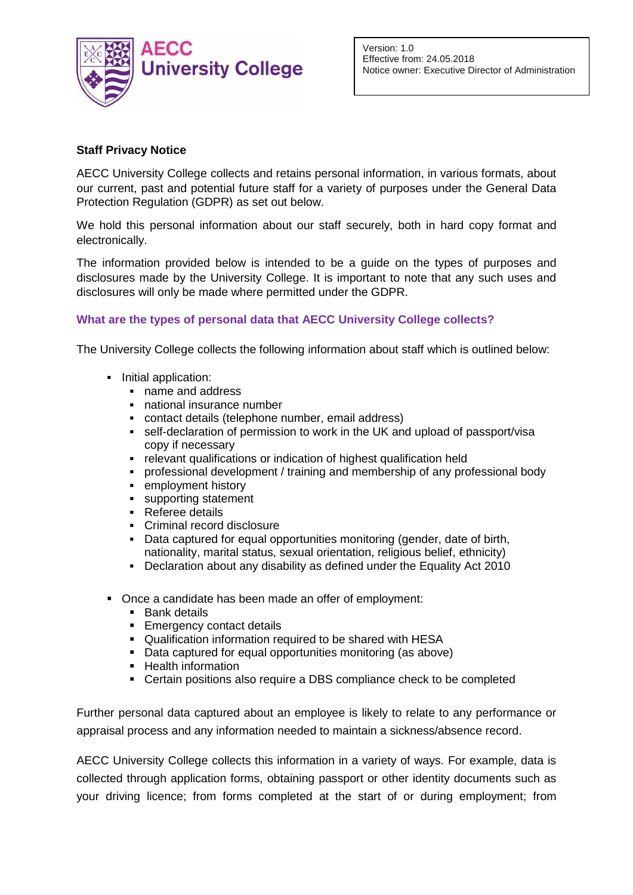

Version: 1.0 Effective from: 24.05.2018 Notice owner: Executive Director of Administration

# **Staff Privacy Notice**

AECC University College collects and retains personal information, in various formats, about our current, past and potential future staff for a variety of purposes under the General Data Protection Regulation (GDPR) as set out below.

We hold this personal information about our staff securely, both in hard copy format and electronically.

The information provided below is intended to be a guide on the types of purposes and disclosures made by the University College. It is important to note that any such uses and disclosures will only be made where permitted under the GDPR.

# **What are the types of personal data that AECC University College collects?**

The University College collects the following information about staff which is outlined below:

- **Initial application:** 
	- name and address
	- national insurance number
	- contact details (telephone number, email address)
	- self-declaration of permission to work in the UK and upload of passport/visa copy if necessary
	- relevant qualifications or indication of highest qualification held
	- professional development / training and membership of any professional body
	- **EXECUTE:** employment history
	- **supporting statement**
	- Referee details
	- Criminal record disclosure
	- Data captured for equal opportunities monitoring (gender, date of birth, nationality, marital status, sexual orientation, religious belief, ethnicity)
	- Declaration about any disability as defined under the Equality Act 2010
- Once a candidate has been made an offer of employment:
	- **Bank details**
	- **Emergency contact details**
	- Qualification information required to be shared with HESA
	- Data captured for equal opportunities monitoring (as above)
	- **Health information**
	- Certain positions also require a DBS compliance check to be completed

Further personal data captured about an employee is likely to relate to any performance or appraisal process and any information needed to maintain a sickness/absence record.

AECC University College collects this information in a variety of ways. For example, data is collected through application forms, obtaining passport or other identity documents such as your driving licence; from forms completed at the start of or during employment; from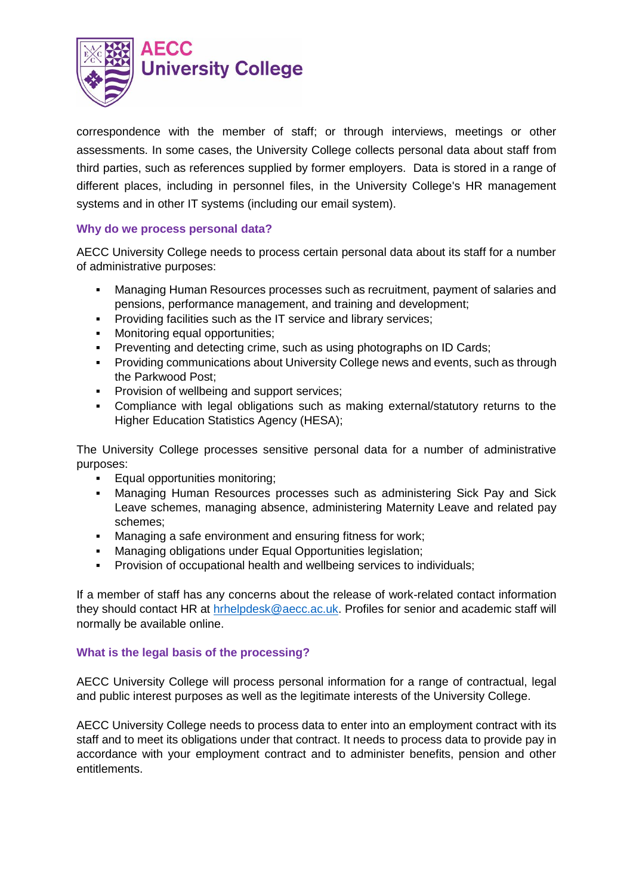

correspondence with the member of staff; or through interviews, meetings or other assessments. In some cases, the University College collects personal data about staff from third parties, such as references supplied by former employers. Data is stored in a range of different places, including in personnel files, in the University College's HR management systems and in other IT systems (including our email system).

# **Why do we process personal data?**

AECC University College needs to process certain personal data about its staff for a number of administrative purposes:

- Managing Human Resources processes such as recruitment, payment of salaries and pensions, performance management, and training and development;
- **Providing facilities such as the IT service and library services;**
- **Monitoring equal opportunities:**
- **Preventing and detecting crime, such as using photographs on ID Cards;**
- **Providing communications about University College news and events, such as through** the Parkwood Post;
- **Provision of wellbeing and support services;**
- Compliance with legal obligations such as making external/statutory returns to the Higher Education Statistics Agency (HESA);

The University College processes sensitive personal data for a number of administrative purposes:

- **Equal opportunities monitoring;**
- Managing Human Resources processes such as administering Sick Pay and Sick Leave schemes, managing absence, administering Maternity Leave and related pay schemes;
- Managing a safe environment and ensuring fitness for work;
- Managing obligations under Equal Opportunities legislation;
- Provision of occupational health and wellbeing services to individuals;

If a member of staff has any concerns about the release of work-related contact information they should contact HR at [hrhelpdesk@aecc.ac.uk.](mailto:hrhelpdesk@aecc.ac.uk) Profiles for senior and academic staff will normally be available online.

## **What is the legal basis of the processing?**

AECC University College will process personal information for a range of contractual, legal and public interest purposes as well as the legitimate interests of the University College.

AECC University College needs to process data to enter into an employment contract with its staff and to meet its obligations under that contract. It needs to process data to provide pay in accordance with your employment contract and to administer benefits, pension and other entitlements.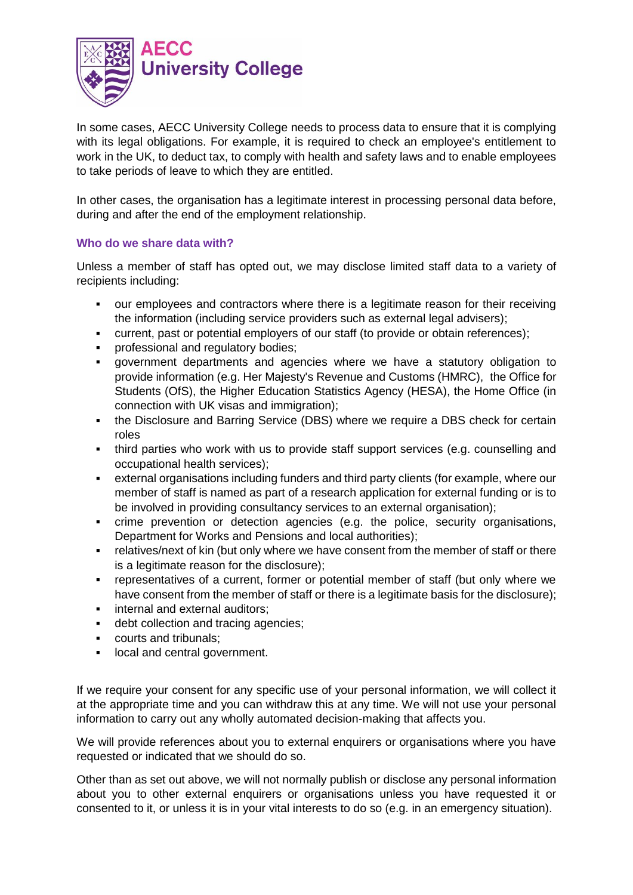

In some cases, AECC University College needs to process data to ensure that it is complying with its legal obligations. For example, it is required to check an employee's entitlement to work in the UK, to deduct tax, to comply with health and safety laws and to enable employees to take periods of leave to which they are entitled.

In other cases, the organisation has a legitimate interest in processing personal data before, during and after the end of the employment relationship.

## **Who do we share data with?**

Unless a member of staff has opted out, we may disclose limited staff data to a variety of recipients including:

- our employees and contractors where there is a legitimate reason for their receiving the information (including service providers such as external legal advisers);
- current, past or potential employers of our staff (to provide or obtain references);
- **•** professional and regulatory bodies;
- government departments and agencies where we have a statutory obligation to provide information (e.g. Her Majesty's Revenue and Customs (HMRC), the Office for Students (OfS), the Higher Education Statistics Agency (HESA), the Home Office (in connection with UK visas and immigration);
- the Disclosure and Barring Service (DBS) where we require a DBS check for certain roles
- third parties who work with us to provide staff support services (e.g. counselling and occupational health services);
- external organisations including funders and third party clients (for example, where our member of staff is named as part of a research application for external funding or is to be involved in providing consultancy services to an external organisation);
- crime prevention or detection agencies (e.g. the police, security organisations, Department for Works and Pensions and local authorities);
- **FILM** FIRM THE TERRIT CONTROLLET THE TERRIT CONSET THE MET IS THERE THE THERE THE TERRIT OF there is a legitimate reason for the disclosure);
- representatives of a current, former or potential member of staff (but only where we have consent from the member of staff or there is a legitimate basis for the disclosure);
- internal and external auditors;
- debt collection and tracing agencies;
- courts and tribunals;
- **If** local and central government.

If we require your consent for any specific use of your personal information, we will collect it at the appropriate time and you can withdraw this at any time. We will not use your personal information to carry out any wholly automated decision-making that affects you.

We will provide references about you to external enquirers or organisations where you have requested or indicated that we should do so.

Other than as set out above, we will not normally publish or disclose any personal information about you to other external enquirers or organisations unless you have requested it or consented to it, or unless it is in your vital interests to do so (e.g. in an emergency situation).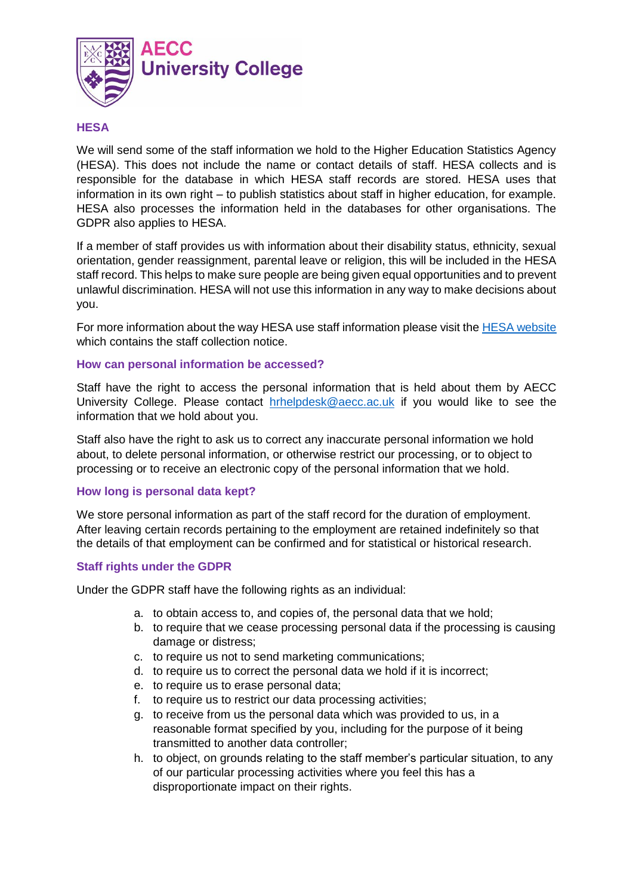

### **HESA**

We will send some of the staff information we hold to the Higher Education Statistics Agency (HESA). This does not include the name or contact details of staff. HESA collects and is responsible for the database in which HESA staff records are stored. HESA uses that information in its own right – to publish statistics about staff in higher education, for example. HESA also processes the information held in the databases for other organisations. The GDPR also applies to HESA.

If a member of staff provides us with information about their disability status, ethnicity, sexual orientation, gender reassignment, parental leave or religion, this will be included in the HESA staff record. This helps to make sure people are being given equal opportunities and to prevent unlawful discrimination. HESA will not use this information in any way to make decisions about you.

For more information about the way HESA use staff information please visit the [HESA website](https://www.hesa.ac.uk/about/regulation/data-protection/notices) which contains the staff collection notice.

### **How can personal information be accessed?**

Staff have the right to access the personal information that is held about them by AECC University College. Please contact [hrhelpdesk@aecc.ac.uk](mailto:hrhelpdesk@aecc.ac.uk) if you would like to see the information that we hold about you.

Staff also have the right to ask us to correct any inaccurate personal information we hold about, to delete personal information, or otherwise restrict our processing, or to object to processing or to receive an electronic copy of the personal information that we hold.

### **How long is personal data kept?**

We store personal information as part of the staff record for the duration of employment. After leaving certain records pertaining to the employment are retained indefinitely so that the details of that employment can be confirmed and for statistical or historical research.

### **Staff rights under the GDPR**

Under the GDPR staff have the following rights as an individual:

- a. to obtain access to, and copies of, the personal data that we hold;
- b. to require that we cease processing personal data if the processing is causing damage or distress;
- c. to require us not to send marketing communications;
- d. to require us to correct the personal data we hold if it is incorrect;
- e. to require us to erase personal data;
- f. to require us to restrict our data processing activities;
- g. to receive from us the personal data which was provided to us, in a reasonable format specified by you, including for the purpose of it being transmitted to another data controller;
- h. to object, on grounds relating to the staff member's particular situation, to any of our particular processing activities where you feel this has a disproportionate impact on their rights.